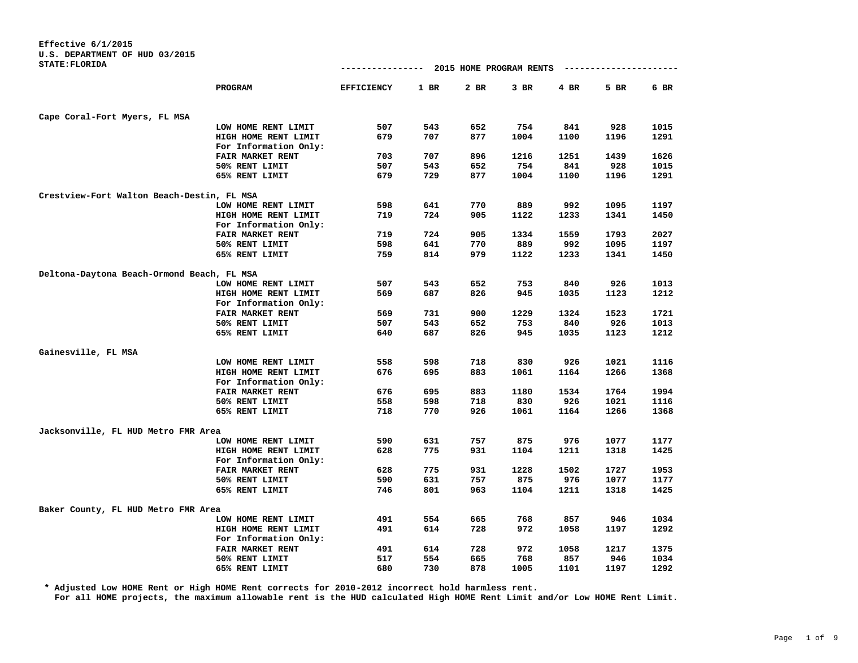| STATE: FLORIDA                             |                         | ----------------  |        |      | 2015 HOME PROGRAM RENTS |      |      |      |
|--------------------------------------------|-------------------------|-------------------|--------|------|-------------------------|------|------|------|
|                                            | PROGRAM                 | <b>EFFICIENCY</b> | $1$ BR | 2 BR | $3$ BR                  | 4 BR | 5 BR | 6 BR |
| Cape Coral-Fort Myers, FL MSA              |                         |                   |        |      |                         |      |      |      |
|                                            | LOW HOME RENT LIMIT     | 507               | 543    | 652  | 754                     | 841  | 928  | 1015 |
|                                            | HIGH HOME RENT LIMIT    | 679               | 707    | 877  | 1004                    | 1100 | 1196 | 1291 |
|                                            | For Information Only:   |                   |        |      |                         |      |      |      |
|                                            | <b>FAIR MARKET RENT</b> | 703               | 707    | 896  | 1216                    | 1251 | 1439 | 1626 |
|                                            | 50% RENT LIMIT          | 507               | 543    | 652  | 754                     | 841  | 928  | 1015 |
|                                            | 65% RENT LIMIT          | 679               | 729    | 877  | 1004                    | 1100 | 1196 | 1291 |
| Crestview-Fort Walton Beach-Destin, FL MSA |                         |                   |        |      |                         |      |      |      |
|                                            | LOW HOME RENT LIMIT     | 598               | 641    | 770  | 889                     | 992  | 1095 | 1197 |
|                                            | HIGH HOME RENT LIMIT    | 719               | 724    | 905  | 1122                    | 1233 | 1341 | 1450 |
|                                            | For Information Only:   |                   |        |      |                         |      |      |      |
|                                            | FAIR MARKET RENT        | 719               | 724    | 905  | 1334                    | 1559 | 1793 | 2027 |
|                                            | 50% RENT LIMIT          | 598               | 641    | 770  | 889                     | 992  | 1095 | 1197 |
|                                            | 65% RENT LIMIT          | 759               | 814    | 979  | 1122                    | 1233 | 1341 | 1450 |
| Deltona-Daytona Beach-Ormond Beach, FL MSA |                         |                   |        |      |                         |      |      |      |
|                                            | LOW HOME RENT LIMIT     | 507               | 543    | 652  | 753                     | 840  | 926  | 1013 |
|                                            | HIGH HOME RENT LIMIT    | 569               | 687    | 826  | 945                     | 1035 | 1123 | 1212 |
|                                            | For Information Only:   |                   |        |      |                         |      |      |      |
|                                            | FAIR MARKET RENT        | 569               | 731    | 900  | 1229                    | 1324 | 1523 | 1721 |
|                                            | 50% RENT LIMIT          | 507               | 543    | 652  | 753                     | 840  | 926  | 1013 |
|                                            | 65% RENT LIMIT          | 640               | 687    | 826  | 945                     | 1035 | 1123 | 1212 |
| Gainesville, FL MSA                        |                         |                   |        |      |                         |      |      |      |
|                                            | LOW HOME RENT LIMIT     | 558               | 598    | 718  | 830                     | 926  | 1021 | 1116 |
|                                            | HIGH HOME RENT LIMIT    | 676               | 695    | 883  | 1061                    | 1164 | 1266 | 1368 |
|                                            | For Information Only:   |                   |        |      |                         |      |      |      |
|                                            | FAIR MARKET RENT        | 676               | 695    | 883  | 1180                    | 1534 | 1764 | 1994 |
|                                            | 50% RENT LIMIT          | 558               | 598    | 718  | 830                     | 926  | 1021 | 1116 |
|                                            | 65% RENT LIMIT          | 718               | 770    | 926  | 1061                    | 1164 | 1266 | 1368 |
| Jacksonville, FL HUD Metro FMR Area        |                         |                   |        |      |                         |      |      |      |
|                                            | LOW HOME RENT LIMIT     | 590               | 631    | 757  | 875                     | 976  | 1077 | 1177 |
|                                            | HIGH HOME RENT LIMIT    | 628               | 775    | 931  | 1104                    | 1211 | 1318 | 1425 |
|                                            | For Information Only:   |                   |        |      |                         |      |      |      |
|                                            | FAIR MARKET RENT        | 628               | 775    | 931  | 1228                    | 1502 | 1727 | 1953 |
|                                            | 50% RENT LIMIT          | 590               | 631    | 757  | 875                     | 976  | 1077 | 1177 |
|                                            | 65% RENT LIMIT          | 746               | 801    | 963  | 1104                    | 1211 | 1318 | 1425 |
| Baker County, FL HUD Metro FMR Area        |                         |                   |        |      |                         |      |      |      |
|                                            | LOW HOME RENT LIMIT     | 491               | 554    | 665  | 768                     | 857  | 946  | 1034 |
|                                            | HIGH HOME RENT LIMIT    | 491               | 614    | 728  | 972                     | 1058 | 1197 | 1292 |
|                                            | For Information Only:   |                   |        |      |                         |      |      |      |
|                                            | FAIR MARKET RENT        | 491               | 614    | 728  | 972                     | 1058 | 1217 | 1375 |
|                                            | 50% RENT LIMIT          | 517               | 554    | 665  | 768                     | 857  | 946  | 1034 |
|                                            | 65% RENT LIMIT          | 680               | 730    | 878  | 1005                    | 1101 | 1197 | 1292 |

\* Adjusted Low HOME Rent or High HOME Rent corrects for 2010–2012 incorrect hold harmless rent.

For all HOME projects, the maximum allowable rent is the HUD calculated High HOME Rent Limit and/or Low HOME Rent Limit.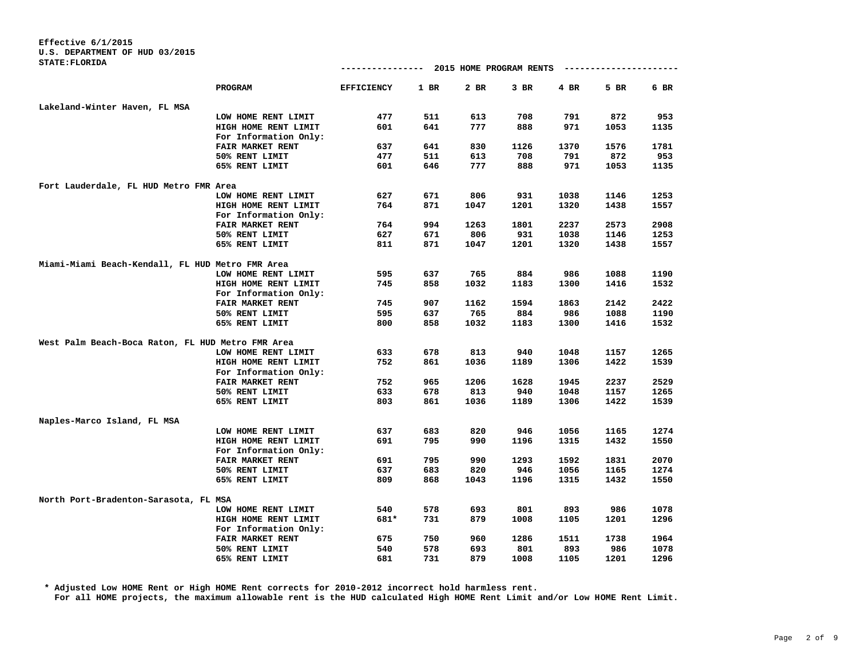| <b>STATE: FLORIDA</b>                             | 2015 HOME PROGRAM RENTS<br>---------------- |                   |      |             |      |      |      |      |  |  |
|---------------------------------------------------|---------------------------------------------|-------------------|------|-------------|------|------|------|------|--|--|
|                                                   | <b>PROGRAM</b>                              | <b>EFFICIENCY</b> | 1 BR | 2 BR        | 3 BR | 4 BR | 5 BR | 6 BR |  |  |
| Lakeland-Winter Haven, FL MSA                     |                                             |                   |      |             |      |      |      |      |  |  |
|                                                   | LOW HOME RENT LIMIT                         | 477               | 511  | 613         | 708  | 791  | 872  | 953  |  |  |
|                                                   | HIGH HOME RENT LIMIT                        | 601               | 641  | 777         | 888  | 971  | 1053 | 1135 |  |  |
|                                                   | For Information Only:                       |                   |      |             |      |      |      |      |  |  |
|                                                   | FAIR MARKET RENT                            | 637               | 641  | 830         | 1126 | 1370 | 1576 | 1781 |  |  |
|                                                   | 50% RENT LIMIT                              | 477               | 511  | 613         | 708  | 791  | 872  | 953  |  |  |
|                                                   | 65% RENT LIMIT                              | 601               | 646  | 777         | 888  | 971  | 1053 | 1135 |  |  |
| Fort Lauderdale, FL HUD Metro FMR Area            |                                             |                   |      |             |      |      |      |      |  |  |
|                                                   | LOW HOME RENT LIMIT                         | 627               | 671  | 806         | 931  | 1038 | 1146 | 1253 |  |  |
|                                                   | HIGH HOME RENT LIMIT                        | 764               | 871  | 1047        | 1201 | 1320 | 1438 | 1557 |  |  |
|                                                   | For Information Only:                       |                   |      |             |      |      |      |      |  |  |
|                                                   | <b>FAIR MARKET RENT</b>                     | 764               | 994  | 1263        | 1801 | 2237 | 2573 | 2908 |  |  |
|                                                   | 50% RENT LIMIT                              | 627               | 671  | 806         | 931  | 1038 | 1146 | 1253 |  |  |
|                                                   | 65% RENT LIMIT                              | 811               | 871  | 1047        | 1201 | 1320 | 1438 | 1557 |  |  |
|                                                   |                                             |                   |      |             |      |      |      |      |  |  |
| Miami-Miami Beach-Kendall, FL HUD Metro FMR Area  |                                             | 595               | 637  |             |      | 986  | 1088 | 1190 |  |  |
|                                                   | LOW HOME RENT LIMIT<br>HIGH HOME RENT LIMIT | 745               | 858  | 765<br>1032 | 884  |      | 1416 | 1532 |  |  |
|                                                   | For Information Only:                       |                   |      |             | 1183 | 1300 |      |      |  |  |
|                                                   | FAIR MARKET RENT                            | 745               | 907  | 1162        | 1594 | 1863 | 2142 | 2422 |  |  |
|                                                   | 50% RENT LIMIT                              | 595               | 637  | 765         | 884  | 986  | 1088 | 1190 |  |  |
|                                                   | 65% RENT LIMIT                              | 800               | 858  | 1032        | 1183 | 1300 | 1416 | 1532 |  |  |
|                                                   |                                             |                   |      |             |      |      |      |      |  |  |
| West Palm Beach-Boca Raton, FL HUD Metro FMR Area |                                             |                   |      |             |      |      |      |      |  |  |
|                                                   | LOW HOME RENT LIMIT                         | 633               | 678  | 813         | 940  | 1048 | 1157 | 1265 |  |  |
|                                                   | HIGH HOME RENT LIMIT                        | 752               | 861  | 1036        | 1189 | 1306 | 1422 | 1539 |  |  |
|                                                   | For Information Only:                       |                   |      |             |      |      |      |      |  |  |
|                                                   | FAIR MARKET RENT                            | 752               | 965  | 1206        | 1628 | 1945 | 2237 | 2529 |  |  |
|                                                   | 50% RENT LIMIT                              | 633               | 678  | 813         | 940  | 1048 | 1157 | 1265 |  |  |
|                                                   | 65% RENT LIMIT                              | 803               | 861  | 1036        | 1189 | 1306 | 1422 | 1539 |  |  |
| Naples-Marco Island, FL MSA                       |                                             |                   |      |             |      |      |      |      |  |  |
|                                                   | LOW HOME RENT LIMIT                         | 637               | 683  | 820         | 946  | 1056 | 1165 | 1274 |  |  |
|                                                   | HIGH HOME RENT LIMIT                        | 691               | 795  | 990         | 1196 | 1315 | 1432 | 1550 |  |  |
|                                                   | For Information Only:                       |                   |      |             |      |      |      |      |  |  |
|                                                   | FAIR MARKET RENT                            | 691               | 795  | 990         | 1293 | 1592 | 1831 | 2070 |  |  |
|                                                   | 50% RENT LIMIT                              | 637               | 683  | 820         | 946  | 1056 | 1165 | 1274 |  |  |
|                                                   | 65% RENT LIMIT                              | 809               | 868  | 1043        | 1196 | 1315 | 1432 | 1550 |  |  |
| North Port-Bradenton-Sarasota, FL MSA             |                                             |                   |      |             |      |      |      |      |  |  |
|                                                   | LOW HOME RENT LIMIT                         | 540               | 578  | 693         | 801  | 893  | 986  | 1078 |  |  |
|                                                   | HIGH HOME RENT LIMIT                        | 681*              | 731  | 879         | 1008 | 1105 | 1201 | 1296 |  |  |
|                                                   | For Information Only:                       |                   |      |             |      |      |      |      |  |  |
|                                                   | FAIR MARKET RENT                            | 675               | 750  | 960         | 1286 | 1511 | 1738 | 1964 |  |  |
|                                                   | 50% RENT LIMIT                              | 540               | 578  | 693         | 801  | 893  | 986  | 1078 |  |  |
|                                                   | 65% RENT LIMIT                              | 681               | 731  | 879         | 1008 | 1105 | 1201 | 1296 |  |  |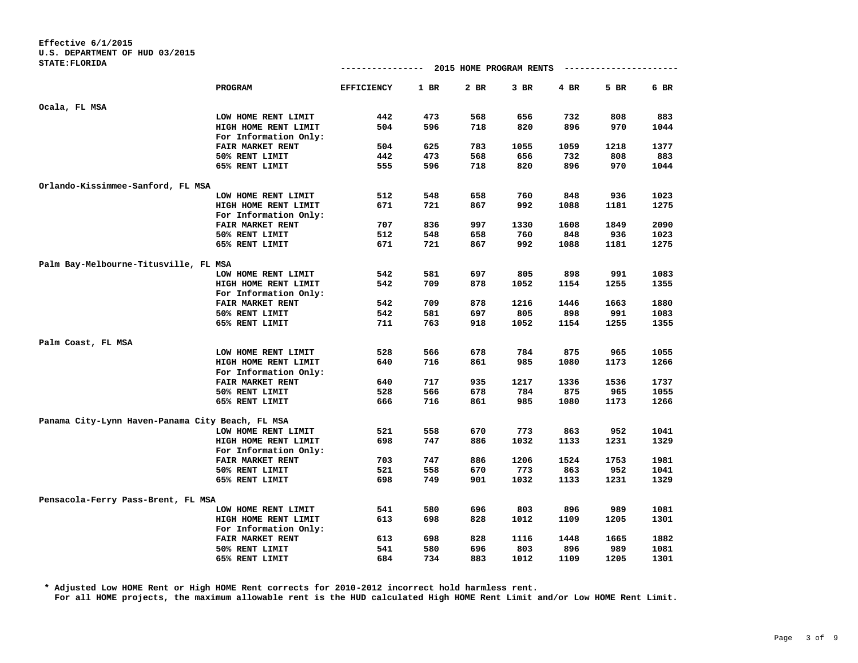|                                                  |                       |                   |        |      | 2015 HOME PROGRAM RENTS |        |      |      |
|--------------------------------------------------|-----------------------|-------------------|--------|------|-------------------------|--------|------|------|
|                                                  | PROGRAM               | <b>EFFICIENCY</b> | $1$ BR | 2 BR | $3$ BR                  | $4$ BR | 5 BR | 6 BR |
| Ocala, FL MSA                                    |                       |                   |        |      |                         |        |      |      |
|                                                  | LOW HOME RENT LIMIT   | 442               | 473    | 568  | 656                     | 732    | 808  | 883  |
|                                                  | HIGH HOME RENT LIMIT  | 504               | 596    | 718  | 820                     | 896    | 970  | 1044 |
|                                                  | For Information Only: |                   |        |      |                         |        |      |      |
|                                                  | FAIR MARKET RENT      | 504               | 625    | 783  | 1055                    | 1059   | 1218 | 1377 |
|                                                  | 50% RENT LIMIT        | 442               | 473    | 568  | 656                     | 732    | 808  | 883  |
|                                                  | 65% RENT LIMIT        | 555               | 596    | 718  | 820                     | 896    | 970  | 1044 |
| Orlando-Kissimmee-Sanford, FL MSA                |                       |                   |        |      |                         |        |      |      |
|                                                  | LOW HOME RENT LIMIT   | 512               | 548    | 658  | 760                     | 848    | 936  | 1023 |
|                                                  | HIGH HOME RENT LIMIT  | 671               | 721    | 867  | 992                     | 1088   | 1181 | 1275 |
|                                                  | For Information Only: |                   |        |      |                         |        |      |      |
|                                                  | FAIR MARKET RENT      | 707               | 836    | 997  | 1330                    | 1608   | 1849 | 2090 |
|                                                  | 50% RENT LIMIT        | 512               | 548    | 658  | 760                     | 848    | 936  | 1023 |
|                                                  | 65% RENT LIMIT        | 671               | 721    | 867  | 992                     | 1088   | 1181 | 1275 |
| Palm Bay-Melbourne-Titusville, FL MSA            |                       |                   |        |      |                         |        |      |      |
|                                                  | LOW HOME RENT LIMIT   | 542               | 581    | 697  | 805                     | 898    | 991  | 1083 |
|                                                  | HIGH HOME RENT LIMIT  | 542               | 709    | 878  | 1052                    | 1154   | 1255 | 1355 |
|                                                  | For Information Only: |                   |        |      |                         |        |      |      |
|                                                  | FAIR MARKET RENT      | 542               | 709    | 878  | 1216                    | 1446   | 1663 | 1880 |
|                                                  | 50% RENT LIMIT        | 542               | 581    | 697  | 805                     | 898    | 991  | 1083 |
|                                                  | 65% RENT LIMIT        | 711               | 763    | 918  | 1052                    | 1154   | 1255 | 1355 |
| Palm Coast, FL MSA                               |                       |                   |        |      |                         |        |      |      |
|                                                  | LOW HOME RENT LIMIT   | 528               | 566    | 678  | 784                     | 875    | 965  | 1055 |
|                                                  | HIGH HOME RENT LIMIT  | 640               | 716    | 861  | 985                     | 1080   | 1173 | 1266 |
|                                                  | For Information Only: |                   |        |      |                         |        |      |      |
|                                                  | FAIR MARKET RENT      | 640               | 717    | 935  | 1217                    | 1336   | 1536 | 1737 |
|                                                  | 50% RENT LIMIT        | 528               | 566    | 678  | 784                     | 875    | 965  | 1055 |
|                                                  | 65% RENT LIMIT        | 666               | 716    | 861  | 985                     | 1080   | 1173 | 1266 |
| Panama City-Lynn Haven-Panama City Beach, FL MSA |                       |                   |        |      |                         |        |      |      |
|                                                  | LOW HOME RENT LIMIT   | 521               | 558    | 670  | 773                     | 863    | 952  | 1041 |
|                                                  | HIGH HOME RENT LIMIT  | 698               | 747    | 886  | 1032                    | 1133   | 1231 | 1329 |
|                                                  | For Information Only: |                   |        |      |                         |        |      |      |
|                                                  | FAIR MARKET RENT      | 703               | 747    | 886  | 1206                    | 1524   | 1753 | 1981 |
|                                                  | 50% RENT LIMIT        | 521               | 558    | 670  | 773                     | 863    | 952  | 1041 |
|                                                  | 65% RENT LIMIT        | 698               | 749    | 901  | 1032                    | 1133   | 1231 | 1329 |
| Pensacola-Ferry Pass-Brent, FL MSA               |                       |                   |        |      |                         |        |      |      |
|                                                  | LOW HOME RENT LIMIT   | 541               | 580    | 696  | 803                     | 896    | 989  | 1081 |
|                                                  | HIGH HOME RENT LIMIT  | 613               | 698    | 828  | 1012                    | 1109   | 1205 | 1301 |
|                                                  | For Information Only: |                   |        |      |                         |        |      |      |
|                                                  | FAIR MARKET RENT      | 613               | 698    | 828  | 1116                    | 1448   | 1665 | 1882 |
|                                                  | 50% RENT LIMIT        | 541               | 580    | 696  | 803                     | 896    | 989  | 1081 |
|                                                  | 65% RENT LIMIT        | 684               | 734    | 883  | 1012                    | 1109   | 1205 | 1301 |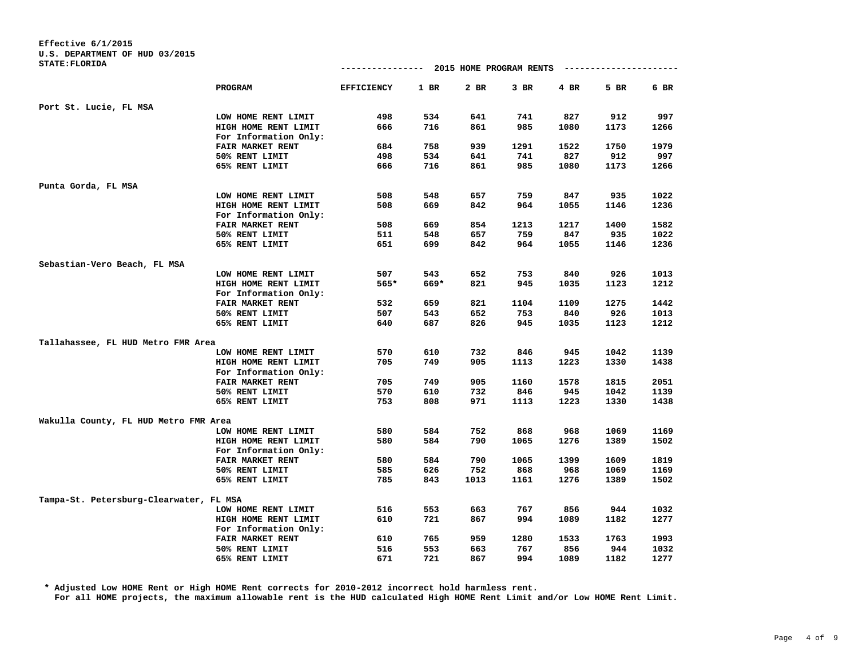|                                         |                       |                   |        |      | 2015 HOME PROGRAM RENTS |        |      |      |
|-----------------------------------------|-----------------------|-------------------|--------|------|-------------------------|--------|------|------|
|                                         | PROGRAM               | <b>EFFICIENCY</b> | $1$ BR | 2 BR | $3$ BR                  | $4$ BR | 5 BR | 6 BR |
| Port St. Lucie, FL MSA                  |                       |                   |        |      |                         |        |      |      |
|                                         | LOW HOME RENT LIMIT   | 498               | 534    | 641  | 741                     | 827    | 912  | 997  |
|                                         | HIGH HOME RENT LIMIT  | 666               | 716    | 861  | 985                     | 1080   | 1173 | 1266 |
|                                         | For Information Only: |                   |        |      |                         |        |      |      |
|                                         | FAIR MARKET RENT      | 684               | 758    | 939  | 1291                    | 1522   | 1750 | 1979 |
|                                         | 50% RENT LIMIT        | 498               | 534    | 641  | 741                     | 827    | 912  | 997  |
|                                         | 65% RENT LIMIT        | 666               | 716    | 861  | 985                     | 1080   | 1173 | 1266 |
| Punta Gorda, FL MSA                     |                       |                   |        |      |                         |        |      |      |
|                                         | LOW HOME RENT LIMIT   | 508               | 548    | 657  | 759                     | 847    | 935  | 1022 |
|                                         | HIGH HOME RENT LIMIT  | 508               | 669    | 842  | 964                     | 1055   | 1146 | 1236 |
|                                         | For Information Only: |                   |        |      |                         |        |      |      |
|                                         | FAIR MARKET RENT      | 508               | 669    | 854  | 1213                    | 1217   | 1400 | 1582 |
|                                         | 50% RENT LIMIT        | 511               | 548    | 657  | 759                     | 847    | 935  | 1022 |
|                                         | 65% RENT LIMIT        | 651               | 699    | 842  | 964                     | 1055   | 1146 | 1236 |
|                                         |                       |                   |        |      |                         |        |      |      |
| Sebastian-Vero Beach, FL MSA            |                       |                   |        |      |                         |        |      |      |
|                                         | LOW HOME RENT LIMIT   | 507               | 543    | 652  | 753                     | 840    | 926  | 1013 |
|                                         | HIGH HOME RENT LIMIT  | $565*$            | 669*   | 821  | 945                     | 1035   | 1123 | 1212 |
|                                         | For Information Only: |                   |        |      |                         |        |      |      |
|                                         | FAIR MARKET RENT      | 532               | 659    | 821  | 1104                    | 1109   | 1275 | 1442 |
|                                         | 50% RENT LIMIT        | 507               | 543    | 652  | 753                     | 840    | 926  | 1013 |
|                                         | 65% RENT LIMIT        | 640               | 687    | 826  | 945                     | 1035   | 1123 | 1212 |
| Tallahassee, FL HUD Metro FMR Area      |                       |                   |        |      |                         |        |      |      |
|                                         | LOW HOME RENT LIMIT   | 570               | 610    | 732  | 846                     | 945    | 1042 | 1139 |
|                                         | HIGH HOME RENT LIMIT  | 705               | 749    | 905  | 1113                    | 1223   | 1330 | 1438 |
|                                         | For Information Only: |                   |        |      |                         |        |      |      |
|                                         | FAIR MARKET RENT      | 705               | 749    | 905  | 1160                    | 1578   | 1815 | 2051 |
|                                         | 50% RENT LIMIT        | 570               | 610    | 732  | 846                     | 945    | 1042 | 1139 |
|                                         | 65% RENT LIMIT        | 753               | 808    | 971  | 1113                    | 1223   | 1330 | 1438 |
| Wakulla County, FL HUD Metro FMR Area   |                       |                   |        |      |                         |        |      |      |
|                                         | LOW HOME RENT LIMIT   | 580               | 584    | 752  | 868                     | 968    | 1069 | 1169 |
|                                         | HIGH HOME RENT LIMIT  | 580               | 584    | 790  | 1065                    | 1276   | 1389 | 1502 |
|                                         | For Information Only: |                   |        |      |                         |        |      |      |
|                                         | FAIR MARKET RENT      | 580               | 584    | 790  | 1065                    | 1399   | 1609 | 1819 |
|                                         | 50% RENT LIMIT        | 585               | 626    | 752  | 868                     | 968    | 1069 | 1169 |
|                                         | 65% RENT LIMIT        | 785               | 843    | 1013 | 1161                    | 1276   | 1389 | 1502 |
| Tampa-St. Petersburg-Clearwater, FL MSA |                       |                   |        |      |                         |        |      |      |
|                                         | LOW HOME RENT LIMIT   | 516               | 553    | 663  | 767                     | 856    | 944  | 1032 |
|                                         | HIGH HOME RENT LIMIT  | 610               | 721    | 867  | 994                     | 1089   | 1182 | 1277 |
|                                         | For Information Only: |                   |        |      |                         |        |      |      |
|                                         | FAIR MARKET RENT      | 610               | 765    | 959  | 1280                    | 1533   | 1763 | 1993 |
|                                         | 50% RENT LIMIT        | 516               | 553    | 663  | 767                     | 856    | 944  | 1032 |
|                                         | 65% RENT LIMIT        | 671               | 721    | 867  | 994                     | 1089   | 1182 | 1277 |
|                                         |                       |                   |        |      |                         |        |      |      |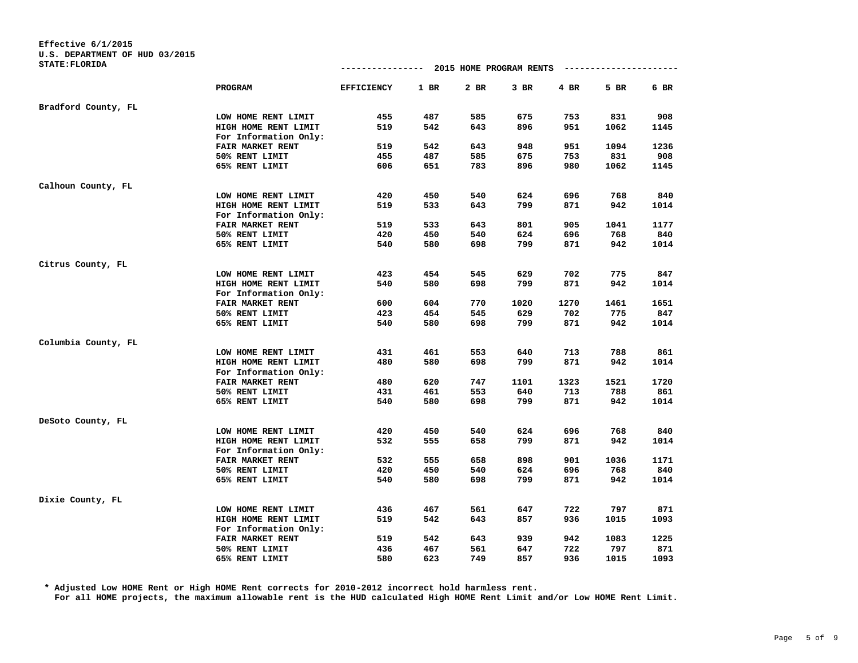# **Effective 6/1/2015**

| U.S. DEPARTMENT OF HUD 03/2015 |  |  |
|--------------------------------|--|--|
| <b>STATE:FLORIDA</b>           |  |  |

| STATE: FLORIDA      |                       | ----------------  |        | 2015 HOME PROGRAM RENTS |        |      | ------------ |      |
|---------------------|-----------------------|-------------------|--------|-------------------------|--------|------|--------------|------|
|                     | PROGRAM               | <b>EFFICIENCY</b> | $1$ BR | $2$ BR                  | $3$ BR | 4 BR | 5 BR         | 6 BR |
| Bradford County, FL |                       |                   |        |                         |        |      |              |      |
|                     | LOW HOME RENT LIMIT   | 455               | 487    | 585                     | 675    | 753  | 831          | 908  |
|                     | HIGH HOME RENT LIMIT  | 519               | 542    | 643                     | 896    | 951  | 1062         | 1145 |
|                     | For Information Only: |                   |        |                         |        |      |              |      |
|                     | FAIR MARKET RENT      | 519               | 542    | 643                     | 948    | 951  | 1094         | 1236 |
|                     | 50% RENT LIMIT        | 455               | 487    | 585                     | 675    | 753  | 831          | 908  |
|                     | 65% RENT LIMIT        | 606               | 651    | 783                     | 896    | 980  | 1062         | 1145 |
| Calhoun County, FL  |                       |                   |        |                         |        |      |              |      |
|                     | LOW HOME RENT LIMIT   | 420               | 450    | 540                     | 624    | 696  | 768          | 840  |
|                     | HIGH HOME RENT LIMIT  | 519               | 533    | 643                     | 799    | 871  | 942          | 1014 |
|                     | For Information Only: |                   |        |                         |        |      |              |      |
|                     | FAIR MARKET RENT      | 519               | 533    | 643                     | 801    | 905  | 1041         | 1177 |
|                     | 50% RENT LIMIT        | 420               | 450    | 540                     | 624    | 696  | 768          | 840  |
|                     | 65% RENT LIMIT        | 540               | 580    | 698                     | 799    | 871  | 942          | 1014 |
| Citrus County, FL   |                       |                   |        |                         |        |      |              |      |
|                     | LOW HOME RENT LIMIT   | 423               | 454    | 545                     | 629    | 702  | 775          | 847  |
|                     | HIGH HOME RENT LIMIT  | 540               | 580    | 698                     | 799    | 871  | 942          | 1014 |
|                     | For Information Only: |                   |        |                         |        |      |              |      |
|                     | FAIR MARKET RENT      | 600               | 604    | 770                     | 1020   | 1270 | 1461         | 1651 |
|                     | 50% RENT LIMIT        | 423               | 454    | 545                     | 629    | 702  | 775          | 847  |
|                     | 65% RENT LIMIT        | 540               | 580    | 698                     | 799    | 871  | 942          | 1014 |
| Columbia County, FL |                       |                   |        |                         |        |      |              |      |
|                     | LOW HOME RENT LIMIT   | 431               | 461    | 553                     | 640    | 713  | 788          | 861  |
|                     | HIGH HOME RENT LIMIT  | 480               | 580    | 698                     | 799    | 871  | 942          | 1014 |
|                     | For Information Only: |                   |        |                         |        |      |              |      |
|                     | FAIR MARKET RENT      | 480               | 620    | 747                     | 1101   | 1323 | 1521         | 1720 |
|                     | 50% RENT LIMIT        | 431               | 461    | 553                     | 640    | 713  | 788          | 861  |
|                     | 65% RENT LIMIT        | 540               | 580    | 698                     | 799    | 871  | 942          | 1014 |
| DeSoto County, FL   |                       |                   |        |                         |        |      |              |      |
|                     | LOW HOME RENT LIMIT   | 420               | 450    | 540                     | 624    | 696  | 768          | 840  |
|                     | HIGH HOME RENT LIMIT  | 532               | 555    | 658                     | 799    | 871  | 942          | 1014 |
|                     | For Information Only: |                   |        |                         |        |      |              |      |
|                     | FAIR MARKET RENT      | 532               | 555    | 658                     | 898    | 901  | 1036         | 1171 |
|                     | 50% RENT LIMIT        | 420               | 450    | 540                     | 624    | 696  | 768          | 840  |
|                     | 65% RENT LIMIT        | 540               | 580    | 698                     | 799    | 871  | 942          | 1014 |
| Dixie County, FL    |                       |                   |        |                         |        |      |              |      |
|                     | LOW HOME RENT LIMIT   | 436               | 467    | 561                     | 647    | 722  | 797          | 871  |
|                     | HIGH HOME RENT LIMIT  | 519               | 542    | 643                     | 857    | 936  | 1015         | 1093 |
|                     | For Information Only: |                   |        |                         |        |      |              |      |
|                     | FAIR MARKET RENT      | 519               | 542    | 643                     | 939    | 942  | 1083         | 1225 |
|                     | 50% RENT LIMIT        | 436               | 467    | 561                     | 647    | 722  | 797          | 871  |
|                     | 65% RENT LIMIT        | 580               | 623    | 749                     | 857    | 936  | 1015         | 1093 |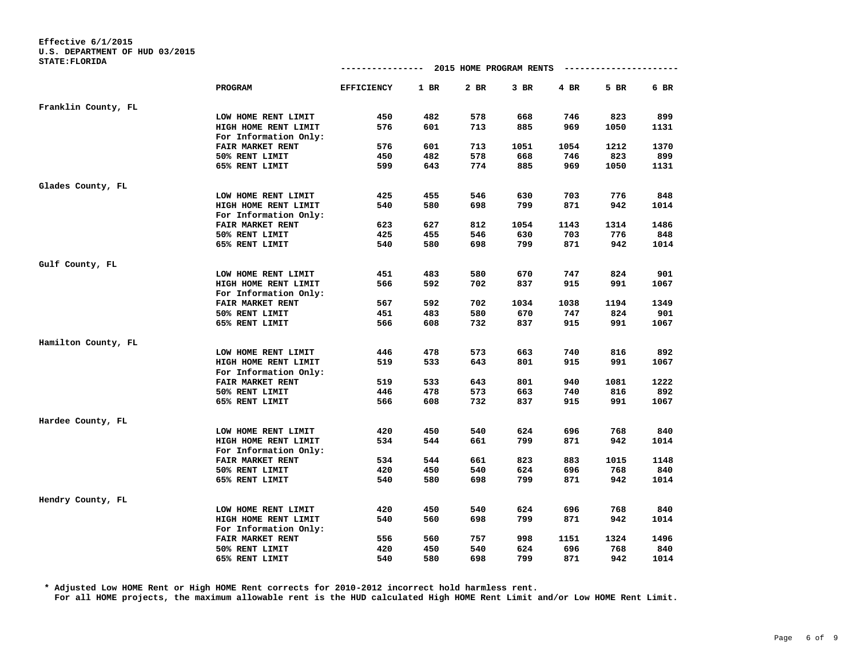# **Effective 6/1/2015 U.S. DEPARTMENT OF HUD 03/2015**

| <b>STATE:FLORIDA</b> |  |
|----------------------|--|
|                      |  |

|                     |                         | ----------------  |      |      | 2015 HOME PROGRAM RENTS |      | ---------------- |      |
|---------------------|-------------------------|-------------------|------|------|-------------------------|------|------------------|------|
|                     | PROGRAM                 | <b>EFFICIENCY</b> | 1 BR | 2 BR | $3$ BR                  | 4 BR | 5 BR             | 6 BR |
| Franklin County, FL |                         |                   |      |      |                         |      |                  |      |
|                     | LOW HOME RENT LIMIT     | 450               | 482  | 578  | 668                     | 746  | 823              | 899  |
|                     | HIGH HOME RENT LIMIT    | 576               | 601  | 713  | 885                     | 969  | 1050             | 1131 |
|                     | For Information Only:   |                   |      |      |                         |      |                  |      |
|                     | FAIR MARKET RENT        | 576               | 601  | 713  | 1051                    | 1054 | 1212             | 1370 |
|                     | 50% RENT LIMIT          | 450               | 482  | 578  | 668                     | 746  | 823              | 899  |
|                     | 65% RENT LIMIT          | 599               | 643  | 774  | 885                     | 969  | 1050             | 1131 |
| Glades County, FL   |                         |                   |      |      |                         |      |                  |      |
|                     | LOW HOME RENT LIMIT     | 425               | 455  | 546  | 630                     | 703  | 776              | 848  |
|                     | HIGH HOME RENT LIMIT    | 540               | 580  | 698  | 799                     | 871  | 942              | 1014 |
|                     | For Information Only:   |                   |      |      |                         |      |                  |      |
|                     | <b>FAIR MARKET RENT</b> | 623               | 627  | 812  | 1054                    | 1143 | 1314             | 1486 |
|                     | 50% RENT LIMIT          | 425               | 455  | 546  | 630                     | 703  | 776              | 848  |
|                     | 65% RENT LIMIT          | 540               | 580  | 698  | 799                     | 871  | 942              | 1014 |
| Gulf County, FL     |                         |                   |      |      |                         |      |                  |      |
|                     | LOW HOME RENT LIMIT     | 451               | 483  | 580  | 670                     | 747  | 824              | 901  |
|                     | HIGH HOME RENT LIMIT    | 566               | 592  | 702  | 837                     | 915  | 991              | 1067 |
|                     | For Information Only:   |                   |      |      |                         |      |                  |      |
|                     | FAIR MARKET RENT        | 567               | 592  | 702  | 1034                    | 1038 | 1194             | 1349 |
|                     | 50% RENT LIMIT          | 451               | 483  | 580  | 670                     | 747  | 824              | 901  |
|                     | 65% RENT LIMIT          | 566               | 608  | 732  | 837                     | 915  | 991              | 1067 |
| Hamilton County, FL |                         |                   |      |      |                         |      |                  |      |
|                     | LOW HOME RENT LIMIT     | 446               | 478  | 573  | 663                     | 740  | 816              | 892  |
|                     | HIGH HOME RENT LIMIT    | 519               | 533  | 643  | 801                     | 915  | 991              | 1067 |
|                     | For Information Only:   |                   |      |      |                         |      |                  |      |
|                     | FAIR MARKET RENT        | 519               | 533  | 643  | 801                     | 940  | 1081             | 1222 |
|                     | 50% RENT LIMIT          | 446               | 478  | 573  | 663                     | 740  | 816              | 892  |
|                     | 65% RENT LIMIT          | 566               | 608  | 732  | 837                     | 915  | 991              | 1067 |
| Hardee County, FL   |                         |                   |      |      |                         |      |                  |      |
|                     | LOW HOME RENT LIMIT     | 420               | 450  | 540  | 624                     | 696  | 768              | 840  |
|                     | HIGH HOME RENT LIMIT    | 534               | 544  | 661  | 799                     | 871  | 942              | 1014 |
|                     | For Information Only:   |                   |      |      |                         |      |                  |      |
|                     | FAIR MARKET RENT        | 534               | 544  | 661  | 823                     | 883  | 1015             | 1148 |
|                     | 50% RENT LIMIT          | 420               | 450  | 540  | 624                     | 696  | 768              | 840  |
|                     | 65% RENT LIMIT          | 540               | 580  | 698  | 799                     | 871  | 942              | 1014 |
| Hendry County, FL   |                         |                   |      |      |                         |      |                  |      |
|                     | LOW HOME RENT LIMIT     | 420               | 450  | 540  | 624                     | 696  | 768              | 840  |
|                     | HIGH HOME RENT LIMIT    | 540               | 560  | 698  | 799                     | 871  | 942              | 1014 |
|                     | For Information Only:   |                   |      |      |                         |      |                  |      |
|                     | FAIR MARKET RENT        | 556               | 560  | 757  | 998                     | 1151 | 1324             | 1496 |
|                     | 50% RENT LIMIT          | 420               | 450  | 540  | 624                     | 696  | 768              | 840  |
|                     | 65% RENT LIMIT          | 540               | 580  | 698  | 799                     | 871  | 942              | 1014 |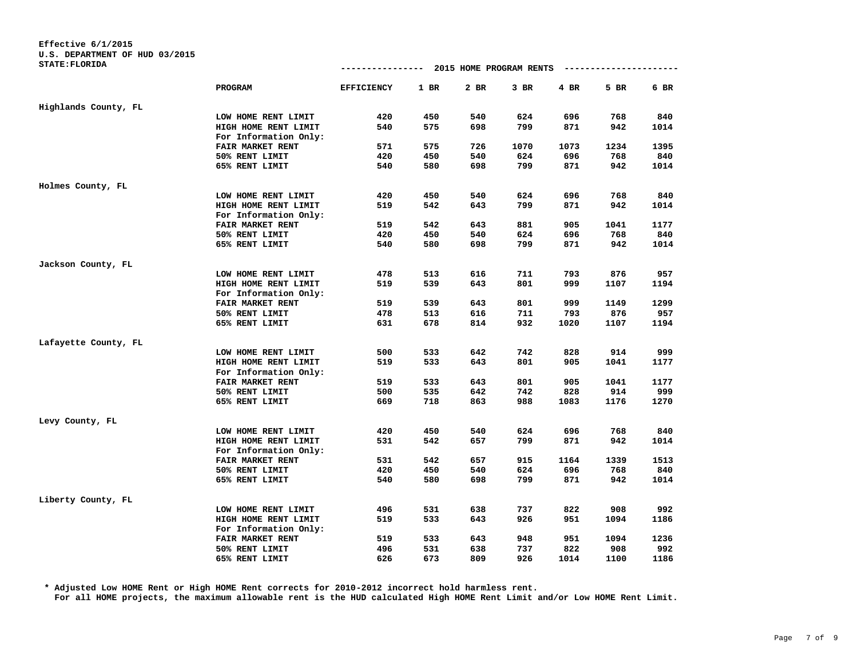## **Effective 6/1/2015 U.S. DEPARTMENT OF HUD 03/2015**

| <b>STATE: FLORIDA</b> |  |
|-----------------------|--|
|                       |  |

|                      |                       | ----------------  |      |      | 2015 HOME PROGRAM RENTS |      | ----------------- |      |
|----------------------|-----------------------|-------------------|------|------|-------------------------|------|-------------------|------|
|                      | PROGRAM               | <b>EFFICIENCY</b> | 1 BR | 2 BR | 3 BR                    | 4 BR | 5 BR              | 6 BR |
| Highlands County, FL |                       |                   |      |      |                         |      |                   |      |
|                      | LOW HOME RENT LIMIT   | 420               | 450  | 540  | 624                     | 696  | 768               | 840  |
|                      | HIGH HOME RENT LIMIT  | 540               | 575  | 698  | 799                     | 871  | 942               | 1014 |
|                      | For Information Only: |                   |      |      |                         |      |                   |      |
|                      | FAIR MARKET RENT      | 571               | 575  | 726  | 1070                    | 1073 | 1234              | 1395 |
|                      | 50% RENT LIMIT        | 420               | 450  | 540  | 624                     | 696  | 768               | 840  |
|                      | 65% RENT LIMIT        | 540               | 580  | 698  | 799                     | 871  | 942               | 1014 |
| Holmes County, FL    |                       |                   |      |      |                         |      |                   |      |
|                      | LOW HOME RENT LIMIT   | 420               | 450  | 540  | 624                     | 696  | 768               | 840  |
|                      | HIGH HOME RENT LIMIT  | 519               | 542  | 643  | 799                     | 871  | 942               | 1014 |
|                      | For Information Only: |                   |      |      |                         |      |                   |      |
|                      | FAIR MARKET RENT      | 519               | 542  | 643  | 881                     | 905  | 1041              | 1177 |
|                      | 50% RENT LIMIT        | 420               | 450  | 540  | 624                     | 696  | 768               | 840  |
|                      | 65% RENT LIMIT        | 540               | 580  | 698  | 799                     | 871  | 942               | 1014 |
| Jackson County, FL   |                       |                   |      |      |                         |      |                   |      |
|                      | LOW HOME RENT LIMIT   | 478               | 513  | 616  | 711                     | 793  | 876               | 957  |
|                      | HIGH HOME RENT LIMIT  | 519               | 539  | 643  | 801                     | 999  | 1107              | 1194 |
|                      | For Information Only: |                   |      |      |                         |      |                   |      |
|                      | FAIR MARKET RENT      | 519               | 539  | 643  | 801                     | 999  | 1149              | 1299 |
|                      | 50% RENT LIMIT        | 478               | 513  | 616  | 711                     | 793  | 876               | 957  |
|                      | 65% RENT LIMIT        | 631               | 678  | 814  | 932                     | 1020 | 1107              | 1194 |
| Lafayette County, FL |                       |                   |      |      |                         |      |                   |      |
|                      | LOW HOME RENT LIMIT   | 500               | 533  | 642  | 742                     | 828  | 914               | 999  |
|                      | HIGH HOME RENT LIMIT  | 519               | 533  | 643  | 801                     | 905  | 1041              | 1177 |
|                      | For Information Only: |                   |      |      |                         |      |                   |      |
|                      | FAIR MARKET RENT      | 519               | 533  | 643  | 801                     | 905  | 1041              | 1177 |
|                      | 50% RENT LIMIT        | 500               | 535  | 642  | 742                     | 828  | 914               | 999  |
|                      | 65% RENT LIMIT        | 669               | 718  | 863  | 988                     | 1083 | 1176              | 1270 |
| Levy County, FL      |                       |                   |      |      |                         |      |                   |      |
|                      | LOW HOME RENT LIMIT   | 420               | 450  | 540  | 624                     | 696  | 768               | 840  |
|                      | HIGH HOME RENT LIMIT  | 531               | 542  | 657  | 799                     | 871  | 942               | 1014 |
|                      | For Information Only: |                   |      |      |                         |      |                   |      |
|                      | FAIR MARKET RENT      | 531               | 542  | 657  | 915                     | 1164 | 1339              | 1513 |
|                      | 50% RENT LIMIT        | 420               | 450  | 540  | 624                     | 696  | 768               | 840  |
|                      | 65% RENT LIMIT        | 540               | 580  | 698  | 799                     | 871  | 942               | 1014 |
| Liberty County, FL   |                       |                   |      |      |                         |      |                   |      |
|                      | LOW HOME RENT LIMIT   | 496               | 531  | 638  | 737                     | 822  | 908               | 992  |
|                      | HIGH HOME RENT LIMIT  | 519               | 533  | 643  | 926                     | 951  | 1094              | 1186 |
|                      | For Information Only: |                   |      |      |                         |      |                   |      |
|                      | FAIR MARKET RENT      | 519               | 533  | 643  | 948                     | 951  | 1094              | 1236 |
|                      | 50% RENT LIMIT        | 496               | 531  | 638  | 737                     | 822  | 908               | 992  |
|                      | 65% RENT LIMIT        | 626               | 673  | 809  | 926                     | 1014 | 1100              | 1186 |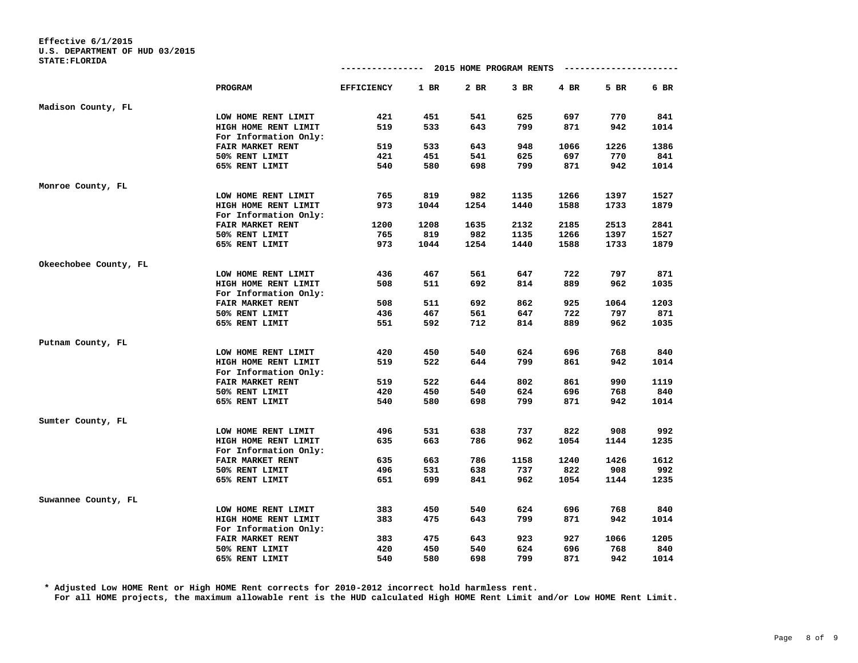## **Effective 6/1/2015**

**U.S. DEPARTMENT OF HUD 03/2015** 

**STATE:FLORIDA**

|                       |                         | ---------------- 2015 HOME PROGRAM RENTS |        |        |        |      | ------------------- |      |
|-----------------------|-------------------------|------------------------------------------|--------|--------|--------|------|---------------------|------|
|                       | PROGRAM                 | <b>EFFICIENCY</b>                        | $1$ BR | $2$ BR | $3$ BR | 4 BR | 5 BR                | 6 BR |
| Madison County, FL    |                         |                                          |        |        |        |      |                     |      |
|                       | LOW HOME RENT LIMIT     | 421                                      | 451    | 541    | 625    | 697  | 770                 | 841  |
|                       | HIGH HOME RENT LIMIT    | 519                                      | 533    | 643    | 799    | 871  | 942                 | 1014 |
|                       | For Information Only:   |                                          |        |        |        |      |                     |      |
|                       | FAIR MARKET RENT        | 519                                      | 533    | 643    | 948    | 1066 | 1226                | 1386 |
|                       | 50% RENT LIMIT          | 421                                      | 451    | 541    | 625    | 697  | 770                 | 841  |
|                       | 65% RENT LIMIT          | 540                                      | 580    | 698    | 799    | 871  | 942                 | 1014 |
| Monroe County, FL     |                         |                                          |        |        |        |      |                     |      |
|                       | LOW HOME RENT LIMIT     | 765                                      | 819    | 982    | 1135   | 1266 | 1397                | 1527 |
|                       | HIGH HOME RENT LIMIT    | 973                                      | 1044   | 1254   | 1440   | 1588 | 1733                | 1879 |
|                       | For Information Only:   |                                          |        |        |        |      |                     |      |
|                       | FAIR MARKET RENT        | 1200                                     | 1208   | 1635   | 2132   | 2185 | 2513                | 2841 |
|                       | 50% RENT LIMIT          | 765                                      | 819    | 982    | 1135   | 1266 | 1397                | 1527 |
|                       | 65% RENT LIMIT          | 973                                      | 1044   | 1254   | 1440   | 1588 | 1733                | 1879 |
| Okeechobee County, FL |                         |                                          |        |        |        |      |                     |      |
|                       | LOW HOME RENT LIMIT     | 436                                      | 467    | 561    | 647    | 722  | 797                 | 871  |
|                       | HIGH HOME RENT LIMIT    | 508                                      | 511    | 692    | 814    | 889  | 962                 | 1035 |
|                       | For Information Only:   |                                          |        |        |        |      |                     |      |
|                       | FAIR MARKET RENT        | 508                                      | 511    | 692    | 862    | 925  | 1064                | 1203 |
|                       | 50% RENT LIMIT          | 436                                      | 467    | 561    | 647    | 722  | 797                 | 871  |
|                       | 65% RENT LIMIT          | 551                                      | 592    | 712    | 814    | 889  | 962                 | 1035 |
| Putnam County, FL     |                         |                                          |        |        |        |      |                     |      |
|                       | LOW HOME RENT LIMIT     | 420                                      | 450    | 540    | 624    | 696  | 768                 | 840  |
|                       | HIGH HOME RENT LIMIT    | 519                                      | 522    | 644    | 799    | 861  | 942                 | 1014 |
|                       | For Information Only:   |                                          |        |        |        |      |                     |      |
|                       | FAIR MARKET RENT        | 519                                      | 522    | 644    | 802    | 861  | 990                 | 1119 |
|                       | 50% RENT LIMIT          | 420                                      | 450    | 540    | 624    | 696  | 768                 | 840  |
|                       | 65% RENT LIMIT          | 540                                      | 580    | 698    | 799    | 871  | 942                 | 1014 |
| Sumter County, FL     |                         |                                          |        |        |        |      |                     |      |
|                       | LOW HOME RENT LIMIT     | 496                                      | 531    | 638    | 737    | 822  | 908                 | 992  |
|                       | HIGH HOME RENT LIMIT    | 635                                      | 663    | 786    | 962    | 1054 | 1144                | 1235 |
|                       | For Information Only:   |                                          |        |        |        |      |                     |      |
|                       | <b>FAIR MARKET RENT</b> | 635                                      | 663    | 786    | 1158   | 1240 | 1426                | 1612 |
|                       | 50% RENT LIMIT          | 496                                      | 531    | 638    | 737    | 822  | 908                 | 992  |
|                       | 65% RENT LIMIT          | 651                                      | 699    | 841    | 962    | 1054 | 1144                | 1235 |
| Suwannee County, FL   |                         |                                          |        |        |        |      |                     |      |
|                       | LOW HOME RENT LIMIT     | 383                                      | 450    | 540    | 624    | 696  | 768                 | 840  |
|                       | HIGH HOME RENT LIMIT    | 383                                      | 475    | 643    | 799    | 871  | 942                 | 1014 |
|                       | For Information Only:   |                                          |        |        |        |      |                     |      |
|                       | FAIR MARKET RENT        | 383                                      | 475    | 643    | 923    | 927  | 1066                | 1205 |
|                       | 50% RENT LIMIT          | 420                                      | 450    | 540    | 624    | 696  | 768                 | 840  |
|                       | 65% RENT LIMIT          | 540                                      | 580    | 698    | 799    | 871  | 942                 | 1014 |